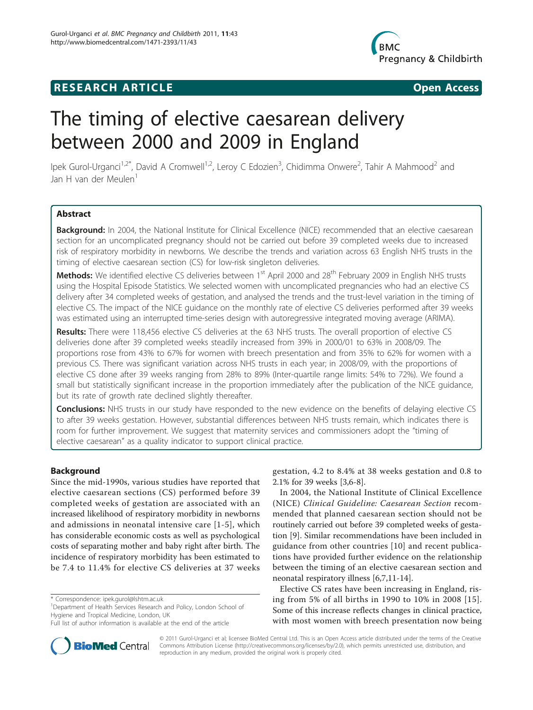## **RESEARCH ARTICLE Example 2008 CONSIDERING ACCESS**



# The timing of elective caesarean delivery between 2000 and 2009 in England

Ipek Gurol-Urganci<sup>1,2\*</sup>, David A Cromwell<sup>1,2</sup>, Leroy C Edozien<sup>3</sup>, Chidimma Onwere<sup>2</sup>, Tahir A Mahmood<sup>2</sup> and Jan H van der Meulen<sup>1</sup>

### Abstract

Background: In 2004, the National Institute for Clinical Excellence (NICE) recommended that an elective caesarean section for an uncomplicated pregnancy should not be carried out before 39 completed weeks due to increased risk of respiratory morbidity in newborns. We describe the trends and variation across 63 English NHS trusts in the timing of elective caesarean section (CS) for low-risk singleton deliveries.

Methods: We identified elective CS deliveries between 1<sup>st</sup> April 2000 and 28<sup>th</sup> February 2009 in English NHS trusts using the Hospital Episode Statistics. We selected women with uncomplicated pregnancies who had an elective CS delivery after 34 completed weeks of gestation, and analysed the trends and the trust-level variation in the timing of elective CS. The impact of the NICE guidance on the monthly rate of elective CS deliveries performed after 39 weeks was estimated using an interrupted time-series design with autoregressive integrated moving average (ARIMA).

Results: There were 118,456 elective CS deliveries at the 63 NHS trusts. The overall proportion of elective CS deliveries done after 39 completed weeks steadily increased from 39% in 2000/01 to 63% in 2008/09. The proportions rose from 43% to 67% for women with breech presentation and from 35% to 62% for women with a previous CS. There was significant variation across NHS trusts in each year; in 2008/09, with the proportions of elective CS done after 39 weeks ranging from 28% to 89% (Inter-quartile range limits: 54% to 72%). We found a small but statistically significant increase in the proportion immediately after the publication of the NICE guidance, but its rate of growth rate declined slightly thereafter.

**Conclusions:** NHS trusts in our study have responded to the new evidence on the benefits of delaying elective CS to after 39 weeks gestation. However, substantial differences between NHS trusts remain, which indicates there is room for further improvement. We suggest that maternity services and commissioners adopt the "timing of elective caesarean" as a quality indicator to support clinical practice.

#### Background

Since the mid-1990s, various studies have reported that elective caesarean sections (CS) performed before 39 completed weeks of gestation are associated with an increased likelihood of respiratory morbidity in newborns and admissions in neonatal intensive care [\[1-5](#page-6-0)], which has considerable economic costs as well as psychological costs of separating mother and baby right after birth. The incidence of respiratory morbidity has been estimated to be 7.4 to 11.4% for elective CS deliveries at 37 weeks

\* Correspondence: [ipek.gurol@lshtm.ac.uk](mailto:ipek.gurol@lshtm.ac.uk)

<sup>1</sup>Department of Health Services Research and Policy, London School of Hygiene and Tropical Medicine, London, UK



In 2004, the National Institute of Clinical Excellence (NICE) Clinical Guideline: Caesarean Section recommended that planned caesarean section should not be routinely carried out before 39 completed weeks of gestation [\[9\]](#page-6-0). Similar recommendations have been included in guidance from other countries [[10](#page-6-0)] and recent publications have provided further evidence on the relationship between the timing of an elective caesarean section and neonatal respiratory illness [\[6](#page-6-0),[7](#page-6-0),[11](#page-6-0)-[14\]](#page-6-0).

Elective CS rates have been increasing in England, rising from 5% of all births in 1990 to 10% in 2008 [[15\]](#page-6-0). Some of this increase reflects changes in clinical practice, with most women with breech presentation now being



© 2011 Gurol-Urganci et al; licensee BioMed Central Ltd. This is an Open Access article distributed under the terms of the Creative Commons Attribution License [\(http://creativecommons.org/licenses/by/2.0](http://creativecommons.org/licenses/by/2.0)), which permits unrestricted use, distribution, and reproduction in any medium, provided the original work is properly cited.

Full list of author information is available at the end of the article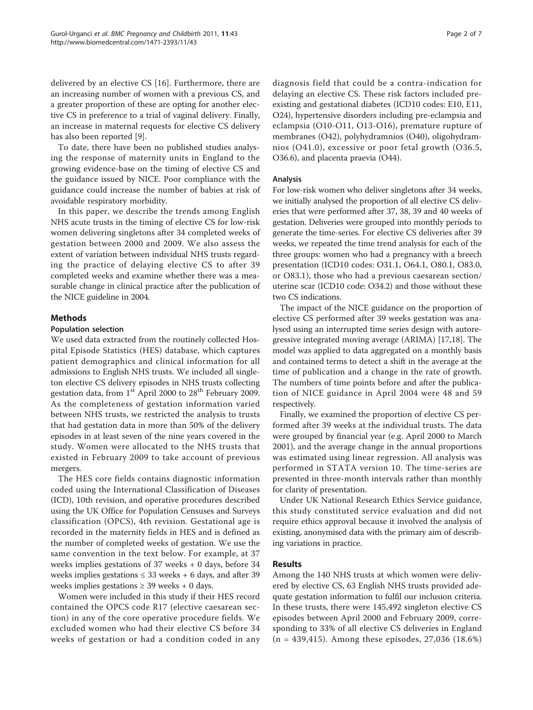delivered by an elective CS [[16](#page-6-0)]. Furthermore, there are an increasing number of women with a previous CS, and a greater proportion of these are opting for another elective CS in preference to a trial of vaginal delivery. Finally, an increase in maternal requests for elective CS delivery has also been reported [[9\]](#page-6-0).

To date, there have been no published studies analysing the response of maternity units in England to the growing evidence-base on the timing of elective CS and the guidance issued by NICE. Poor compliance with the guidance could increase the number of babies at risk of avoidable respiratory morbidity.

In this paper, we describe the trends among English NHS acute trusts in the timing of elective CS for low-risk women delivering singletons after 34 completed weeks of gestation between 2000 and 2009. We also assess the extent of variation between individual NHS trusts regarding the practice of delaying elective CS to after 39 completed weeks and examine whether there was a measurable change in clinical practice after the publication of the NICE guideline in 2004.

#### Methods

#### Population selection

We used data extracted from the routinely collected Hospital Episode Statistics (HES) database, which captures patient demographics and clinical information for all admissions to English NHS trusts. We included all singleton elective CS delivery episodes in NHS trusts collecting gestation data, from 1<sup>st</sup> April 2000 to 28<sup>th</sup> February 2009. As the completeness of gestation information varied between NHS trusts, we restricted the analysis to trusts that had gestation data in more than 50% of the delivery episodes in at least seven of the nine years covered in the study. Women were allocated to the NHS trusts that existed in February 2009 to take account of previous mergers.

The HES core fields contains diagnostic information coded using the International Classification of Diseases (ICD), 10th revision, and operative procedures described using the UK Office for Population Censuses and Surveys classification (OPCS), 4th revision. Gestational age is recorded in the maternity fields in HES and is defined as the number of completed weeks of gestation. We use the same convention in the text below. For example, at 37 weeks implies gestations of 37 weeks + 0 days, before 34 weeks implies gestations  $\leq$  33 weeks + 6 days, and after 39 weeks implies gestations  $\geq$  39 weeks + 0 days.

Women were included in this study if their HES record contained the OPCS code R17 (elective caesarean section) in any of the core operative procedure fields. We excluded women who had their elective CS before 34 weeks of gestation or had a condition coded in any diagnosis field that could be a contra-indication for delaying an elective CS. These risk factors included preexisting and gestational diabetes (ICD10 codes: E10, E11, O24), hypertensive disorders including pre-eclampsia and eclampsia (O10-O11, O13-O16), premature rupture of membranes (O42), polyhydramnios (O40), oligohydramnios (O41.0), excessive or poor fetal growth (O36.5, O36.6), and placenta praevia (O44).

#### Analysis

For low-risk women who deliver singletons after 34 weeks, we initially analysed the proportion of all elective CS deliveries that were performed after 37, 38, 39 and 40 weeks of gestation. Deliveries were grouped into monthly periods to generate the time-series. For elective CS deliveries after 39 weeks, we repeated the time trend analysis for each of the three groups: women who had a pregnancy with a breech presentation (ICD10 codes: O31.1, O64.1, O80.1, O83.0, or O83.1), those who had a previous caesarean section/ uterine scar (ICD10 code: O34.2) and those without these two CS indications.

The impact of the NICE guidance on the proportion of elective CS performed after 39 weeks gestation was analysed using an interrupted time series design with autoregressive integrated moving average (ARIMA) [[17,18](#page-6-0)]. The model was applied to data aggregated on a monthly basis and contained terms to detect a shift in the average at the time of publication and a change in the rate of growth. The numbers of time points before and after the publication of NICE guidance in April 2004 were 48 and 59 respectively.

Finally, we examined the proportion of elective CS performed after 39 weeks at the individual trusts. The data were grouped by financial year (e.g. April 2000 to March 2001), and the average change in the annual proportions was estimated using linear regression. All analysis was performed in STATA version 10. The time-series are presented in three-month intervals rather than monthly for clarity of presentation.

Under UK National Research Ethics Service guidance, this study constituted service evaluation and did not require ethics approval because it involved the analysis of existing, anonymised data with the primary aim of describing variations in practice.

#### Results

Among the 140 NHS trusts at which women were delivered by elective CS, 63 English NHS trusts provided adequate gestation information to fulfil our inclusion criteria. In these trusts, there were 145,492 singleton elective CS episodes between April 2000 and February 2009, corresponding to 33% of all elective CS deliveries in England (n = 439,415). Among these episodes, 27,036 (18.6%)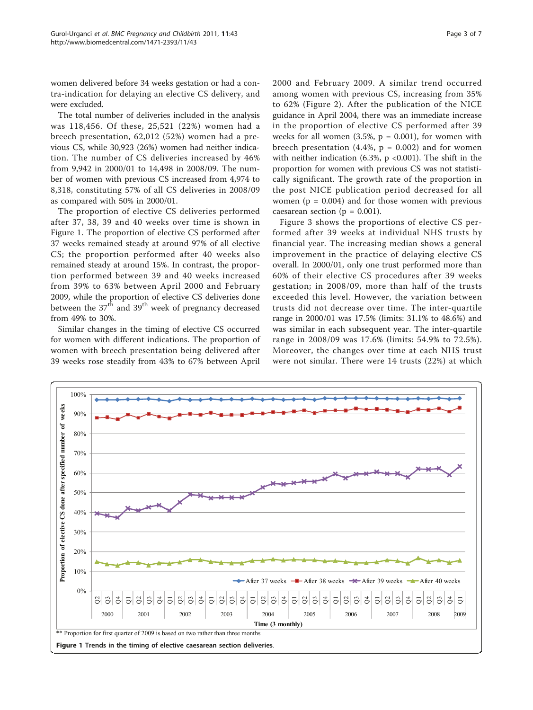women delivered before 34 weeks gestation or had a contra-indication for delaying an elective CS delivery, and were excluded.

The total number of deliveries included in the analysis was 118,456. Of these, 25,521 (22%) women had a breech presentation, 62,012 (52%) women had a previous CS, while 30,923 (26%) women had neither indication. The number of CS deliveries increased by 46% from 9,942 in 2000/01 to 14,498 in 2008/09. The number of women with previous CS increased from 4,974 to 8,318, constituting 57% of all CS deliveries in 2008/09 as compared with 50% in 2000/01.

The proportion of elective CS deliveries performed after 37, 38, 39 and 40 weeks over time is shown in Figure 1. The proportion of elective CS performed after 37 weeks remained steady at around 97% of all elective CS; the proportion performed after 40 weeks also remained steady at around 15%. In contrast, the proportion performed between 39 and 40 weeks increased from 39% to 63% between April 2000 and February 2009, while the proportion of elective CS deliveries done between the  $37<sup>th</sup>$  and  $39<sup>th</sup>$  week of pregnancy decreased from 49% to 30%.

Similar changes in the timing of elective CS occurred for women with different indications. The proportion of women with breech presentation being delivered after 39 weeks rose steadily from 43% to 67% between April 2000 and February 2009. A similar trend occurred among women with previous CS, increasing from 35% to 62% (Figure [2\)](#page-3-0). After the publication of the NICE guidance in April 2004, there was an immediate increase in the proportion of elective CS performed after 39 weeks for all women  $(3.5\%, p = 0.001)$ , for women with breech presentation (4.4%,  $p = 0.002$ ) and for women with neither indication  $(6.3\% , p < 0.001)$ . The shift in the proportion for women with previous CS was not statistically significant. The growth rate of the proportion in the post NICE publication period decreased for all women ( $p = 0.004$ ) and for those women with previous caesarean section ( $p = 0.001$ ).

Figure [3](#page-3-0) shows the proportions of elective CS performed after 39 weeks at individual NHS trusts by financial year. The increasing median shows a general improvement in the practice of delaying elective CS overall. In 2000/01, only one trust performed more than 60% of their elective CS procedures after 39 weeks gestation; in 2008/09, more than half of the trusts exceeded this level. However, the variation between trusts did not decrease over time. The inter-quartile range in 2000/01 was 17.5% (limits: 31.1% to 48.6%) and was similar in each subsequent year. The inter-quartile range in 2008/09 was 17.6% (limits: 54.9% to 72.5%). Moreover, the changes over time at each NHS trust were not similar. There were 14 trusts (22%) at which

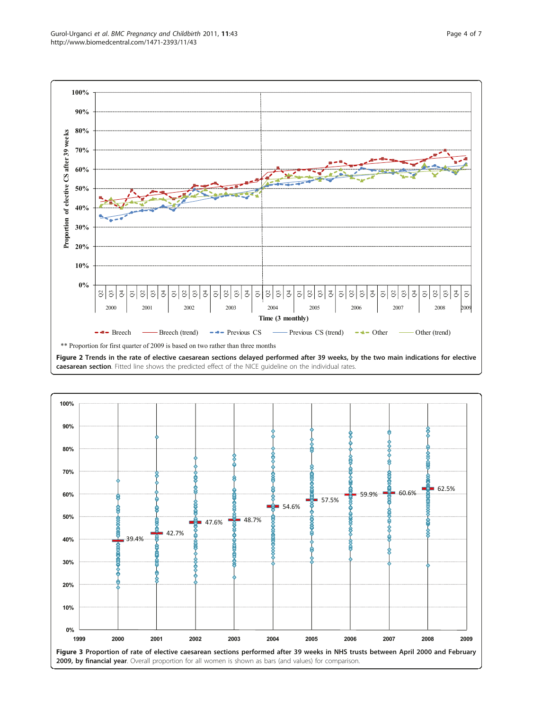<span id="page-3-0"></span>

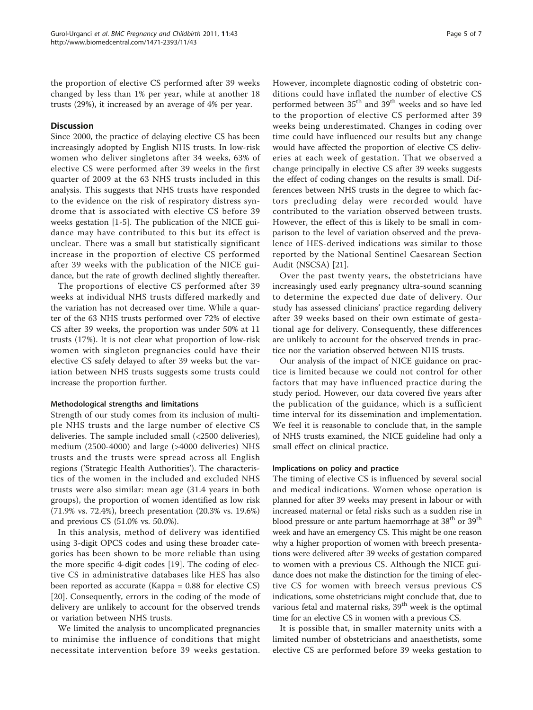the proportion of elective CS performed after 39 weeks changed by less than 1% per year, while at another 18 trusts (29%), it increased by an average of 4% per year.

#### **Discussion**

Since 2000, the practice of delaying elective CS has been increasingly adopted by English NHS trusts. In low-risk women who deliver singletons after 34 weeks, 63% of elective CS were performed after 39 weeks in the first quarter of 2009 at the 63 NHS trusts included in this analysis. This suggests that NHS trusts have responded to the evidence on the risk of respiratory distress syndrome that is associated with elective CS before 39 weeks gestation [\[1](#page-6-0)-[5\]](#page-6-0). The publication of the NICE guidance may have contributed to this but its effect is unclear. There was a small but statistically significant increase in the proportion of elective CS performed after 39 weeks with the publication of the NICE guidance, but the rate of growth declined slightly thereafter.

The proportions of elective CS performed after 39 weeks at individual NHS trusts differed markedly and the variation has not decreased over time. While a quarter of the 63 NHS trusts performed over 72% of elective CS after 39 weeks, the proportion was under 50% at 11 trusts (17%). It is not clear what proportion of low-risk women with singleton pregnancies could have their elective CS safely delayed to after 39 weeks but the variation between NHS trusts suggests some trusts could increase the proportion further.

#### Methodological strengths and limitations

Strength of our study comes from its inclusion of multiple NHS trusts and the large number of elective CS deliveries. The sample included small (<2500 deliveries), medium (2500-4000) and large (>4000 deliveries) NHS trusts and the trusts were spread across all English regions ('Strategic Health Authorities'). The characteristics of the women in the included and excluded NHS trusts were also similar: mean age (31.4 years in both groups), the proportion of women identified as low risk (71.9% vs. 72.4%), breech presentation (20.3% vs. 19.6%) and previous CS (51.0% vs. 50.0%).

In this analysis, method of delivery was identified using 3-digit OPCS codes and using these broader categories has been shown to be more reliable than using the more specific 4-digit codes [[19\]](#page-6-0). The coding of elective CS in administrative databases like HES has also been reported as accurate (Kappa = 0.88 for elective CS) [[20\]](#page-6-0). Consequently, errors in the coding of the mode of delivery are unlikely to account for the observed trends or variation between NHS trusts.

We limited the analysis to uncomplicated pregnancies to minimise the influence of conditions that might necessitate intervention before 39 weeks gestation. However, incomplete diagnostic coding of obstetric conditions could have inflated the number of elective CS performed between 35<sup>th</sup> and 39<sup>th</sup> weeks and so have led to the proportion of elective CS performed after 39 weeks being underestimated. Changes in coding over time could have influenced our results but any change would have affected the proportion of elective CS deliveries at each week of gestation. That we observed a change principally in elective CS after 39 weeks suggests the effect of coding changes on the results is small. Differences between NHS trusts in the degree to which factors precluding delay were recorded would have contributed to the variation observed between trusts. However, the effect of this is likely to be small in comparison to the level of variation observed and the prevalence of HES-derived indications was similar to those reported by the National Sentinel Caesarean Section Audit (NSCSA) [[21](#page-6-0)].

Over the past twenty years, the obstetricians have increasingly used early pregnancy ultra-sound scanning to determine the expected due date of delivery. Our study has assessed clinicians' practice regarding delivery after 39 weeks based on their own estimate of gestational age for delivery. Consequently, these differences are unlikely to account for the observed trends in practice nor the variation observed between NHS trusts.

Our analysis of the impact of NICE guidance on practice is limited because we could not control for other factors that may have influenced practice during the study period. However, our data covered five years after the publication of the guidance, which is a sufficient time interval for its dissemination and implementation. We feel it is reasonable to conclude that, in the sample of NHS trusts examined, the NICE guideline had only a small effect on clinical practice.

#### Implications on policy and practice

The timing of elective CS is influenced by several social and medical indications. Women whose operation is planned for after 39 weeks may present in labour or with increased maternal or fetal risks such as a sudden rise in blood pressure or ante partum haemorrhage at  $38<sup>th</sup>$  or  $39<sup>th</sup>$ week and have an emergency CS. This might be one reason why a higher proportion of women with breech presentations were delivered after 39 weeks of gestation compared to women with a previous CS. Although the NICE guidance does not make the distinction for the timing of elective CS for women with breech versus previous CS indications, some obstetricians might conclude that, due to various fetal and maternal risks, 39<sup>th</sup> week is the optimal time for an elective CS in women with a previous CS.

It is possible that, in smaller maternity units with a limited number of obstetricians and anaesthetists, some elective CS are performed before 39 weeks gestation to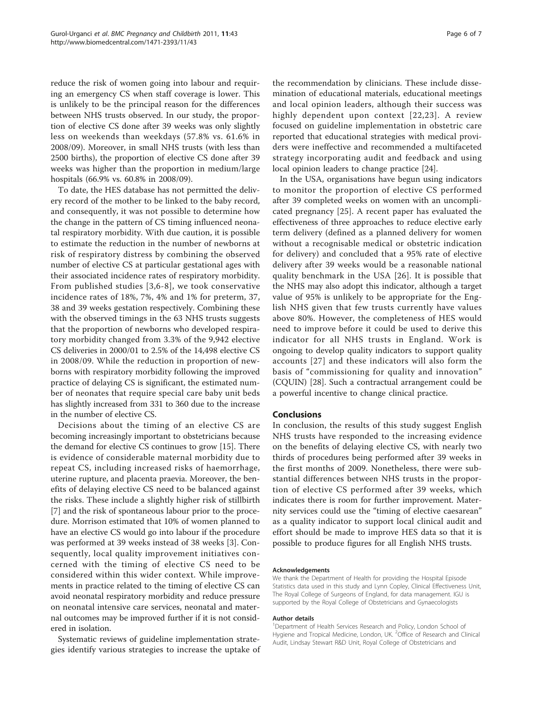reduce the risk of women going into labour and requiring an emergency CS when staff coverage is lower. This is unlikely to be the principal reason for the differences between NHS trusts observed. In our study, the proportion of elective CS done after 39 weeks was only slightly less on weekends than weekdays (57.8% vs. 61.6% in 2008/09). Moreover, in small NHS trusts (with less than 2500 births), the proportion of elective CS done after 39 weeks was higher than the proportion in medium/large hospitals (66.9% vs. 60.8% in 2008/09).

To date, the HES database has not permitted the delivery record of the mother to be linked to the baby record, and consequently, it was not possible to determine how the change in the pattern of CS timing influenced neonatal respiratory morbidity. With due caution, it is possible to estimate the reduction in the number of newborns at risk of respiratory distress by combining the observed number of elective CS at particular gestational ages with their associated incidence rates of respiratory morbidity. From published studies [[3](#page-6-0),[6-8](#page-6-0)], we took conservative incidence rates of 18%, 7%, 4% and 1% for preterm, 37, 38 and 39 weeks gestation respectively. Combining these with the observed timings in the 63 NHS trusts suggests that the proportion of newborns who developed respiratory morbidity changed from 3.3% of the 9,942 elective CS deliveries in 2000/01 to 2.5% of the 14,498 elective CS in 2008/09. While the reduction in proportion of newborns with respiratory morbidity following the improved practice of delaying CS is significant, the estimated number of neonates that require special care baby unit beds has slightly increased from 331 to 360 due to the increase in the number of elective CS.

Decisions about the timing of an elective CS are becoming increasingly important to obstetricians because the demand for elective CS continues to grow [[15](#page-6-0)]. There is evidence of considerable maternal morbidity due to repeat CS, including increased risks of haemorrhage, uterine rupture, and placenta praevia. Moreover, the benefits of delaying elective CS need to be balanced against the risks. These include a slightly higher risk of stillbirth [[7\]](#page-6-0) and the risk of spontaneous labour prior to the procedure. Morrison estimated that 10% of women planned to have an elective CS would go into labour if the procedure was performed at 39 weeks instead of 38 weeks [[3\]](#page-6-0). Consequently, local quality improvement initiatives concerned with the timing of elective CS need to be considered within this wider context. While improvements in practice related to the timing of elective CS can avoid neonatal respiratory morbidity and reduce pressure on neonatal intensive care services, neonatal and maternal outcomes may be improved further if it is not considered in isolation.

Systematic reviews of guideline implementation strategies identify various strategies to increase the uptake of

the recommendation by clinicians. These include dissemination of educational materials, educational meetings and local opinion leaders, although their success was highly dependent upon context [[22](#page-6-0),[23](#page-6-0)]. A review focused on guideline implementation in obstetric care reported that educational strategies with medical providers were ineffective and recommended a multifaceted strategy incorporating audit and feedback and using local opinion leaders to change practice [[24](#page-6-0)].

In the USA, organisations have begun using indicators to monitor the proportion of elective CS performed after 39 completed weeks on women with an uncomplicated pregnancy [[25\]](#page-6-0). A recent paper has evaluated the effectiveness of three approaches to reduce elective early term delivery (defined as a planned delivery for women without a recognisable medical or obstetric indication for delivery) and concluded that a 95% rate of elective delivery after 39 weeks would be a reasonable national quality benchmark in the USA [[26](#page-6-0)]. It is possible that the NHS may also adopt this indicator, although a target value of 95% is unlikely to be appropriate for the English NHS given that few trusts currently have values above 80%. However, the completeness of HES would need to improve before it could be used to derive this indicator for all NHS trusts in England. Work is ongoing to develop quality indicators to support quality accounts [[27\]](#page-6-0) and these indicators will also form the basis of "commissioning for quality and innovation" (CQUIN) [[28](#page-6-0)]. Such a contractual arrangement could be a powerful incentive to change clinical practice.

#### Conclusions

In conclusion, the results of this study suggest English NHS trusts have responded to the increasing evidence on the benefits of delaying elective CS, with nearly two thirds of procedures being performed after 39 weeks in the first months of 2009. Nonetheless, there were substantial differences between NHS trusts in the proportion of elective CS performed after 39 weeks, which indicates there is room for further improvement. Maternity services could use the "timing of elective caesarean" as a quality indicator to support local clinical audit and effort should be made to improve HES data so that it is possible to produce figures for all English NHS trusts.

#### Acknowledgements

We thank the Department of Health for providing the Hospital Episode Statistics data used in this study and Lynn Copley, Clinical Effectiveness Unit, The Royal College of Surgeons of England, for data management. IGU is supported by the Royal College of Obstetricians and Gynaecologists

#### Author details

<sup>1</sup>Department of Health Services Research and Policy, London School of Hygiene and Tropical Medicine, London, UK. <sup>2</sup>Office of Research and Clinical Audit, Lindsay Stewart R&D Unit, Royal College of Obstetricians and